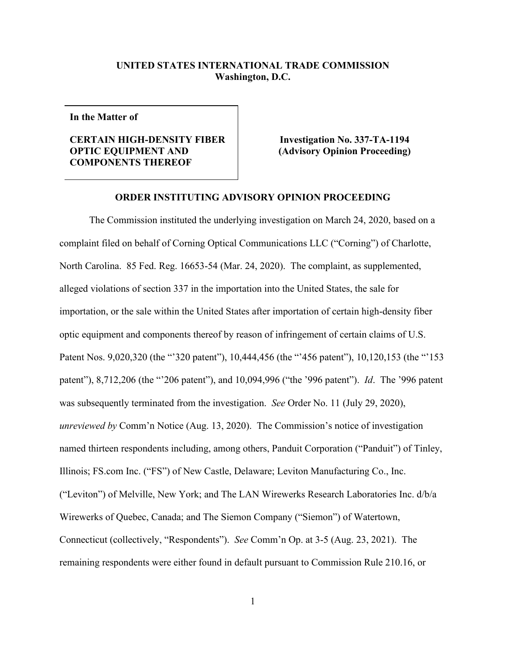## **UNITED STATES INTERNATIONAL TRADE COMMISSION Washington, D.C.**

**In the Matter of**

## **CERTAIN HIGH-DENSITY FIBER OPTIC EQUIPMENT AND COMPONENTS THEREOF**

**Investigation No. 337-TA-1194 (Advisory Opinion Proceeding)**

## **ORDER INSTITUTING ADVISORY OPINION PROCEEDING**

The Commission instituted the underlying investigation on March 24, 2020, based on a complaint filed on behalf of Corning Optical Communications LLC ("Corning") of Charlotte, North Carolina. 85 Fed. Reg. 16653-54 (Mar. 24, 2020). The complaint, as supplemented, alleged violations of section 337 in the importation into the United States, the sale for importation, or the sale within the United States after importation of certain high-density fiber optic equipment and components thereof by reason of infringement of certain claims of U.S. Patent Nos. 9,020,320 (the "'320 patent"), 10,444,456 (the "'456 patent"), 10,120,153 (the "'153 patent"), 8,712,206 (the "'206 patent"), and 10,094,996 ("the '996 patent"). *Id*. The '996 patent was subsequently terminated from the investigation. *See* Order No. 11 (July 29, 2020), *unreviewed by* Comm'n Notice (Aug. 13, 2020). The Commission's notice of investigation named thirteen respondents including, among others, Panduit Corporation ("Panduit") of Tinley, Illinois; FS.com Inc. ("FS") of New Castle, Delaware; Leviton Manufacturing Co., Inc. ("Leviton") of Melville, New York; and The LAN Wirewerks Research Laboratories Inc. d/b/a Wirewerks of Quebec, Canada; and The Siemon Company ("Siemon") of Watertown, Connecticut (collectively, "Respondents"). *See* Comm'n Op. at 3-5 (Aug. 23, 2021). The remaining respondents were either found in default pursuant to Commission Rule 210.16, or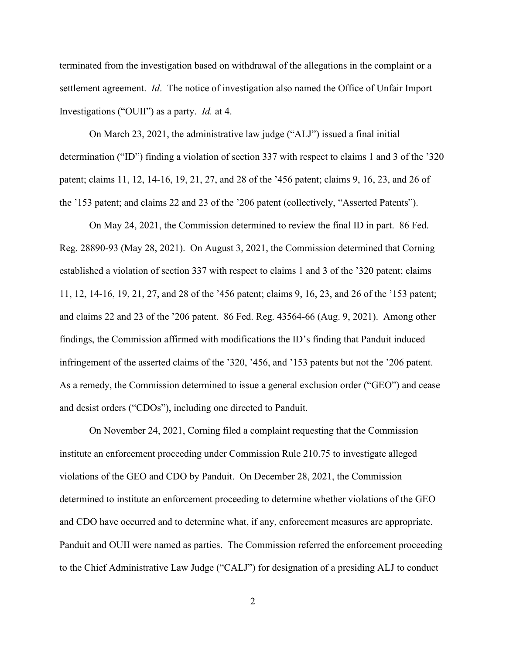terminated from the investigation based on withdrawal of the allegations in the complaint or a settlement agreement. *Id*. The notice of investigation also named the Office of Unfair Import Investigations ("OUII") as a party. *Id.* at 4.

On March 23, 2021, the administrative law judge ("ALJ") issued a final initial determination ("ID") finding a violation of section 337 with respect to claims 1 and 3 of the '320 patent; claims 11, 12, 14-16, 19, 21, 27, and 28 of the '456 patent; claims 9, 16, 23, and 26 of the '153 patent; and claims 22 and 23 of the '206 patent (collectively, "Asserted Patents").

On May 24, 2021, the Commission determined to review the final ID in part. 86 Fed. Reg. 28890-93 (May 28, 2021). On August 3, 2021, the Commission determined that Corning established a violation of section 337 with respect to claims 1 and 3 of the '320 patent; claims 11, 12, 14-16, 19, 21, 27, and 28 of the '456 patent; claims 9, 16, 23, and 26 of the '153 patent; and claims 22 and 23 of the '206 patent. 86 Fed. Reg. 43564-66 (Aug. 9, 2021). Among other findings, the Commission affirmed with modifications the ID's finding that Panduit induced infringement of the asserted claims of the '320, '456, and '153 patents but not the '206 patent. As a remedy, the Commission determined to issue a general exclusion order ("GEO") and cease and desist orders ("CDOs"), including one directed to Panduit.

On November 24, 2021, Corning filed a complaint requesting that the Commission institute an enforcement proceeding under Commission Rule 210.75 to investigate alleged violations of the GEO and CDO by Panduit. On December 28, 2021, the Commission determined to institute an enforcement proceeding to determine whether violations of the GEO and CDO have occurred and to determine what, if any, enforcement measures are appropriate. Panduit and OUII were named as parties. The Commission referred the enforcement proceeding to the Chief Administrative Law Judge ("CALJ") for designation of a presiding ALJ to conduct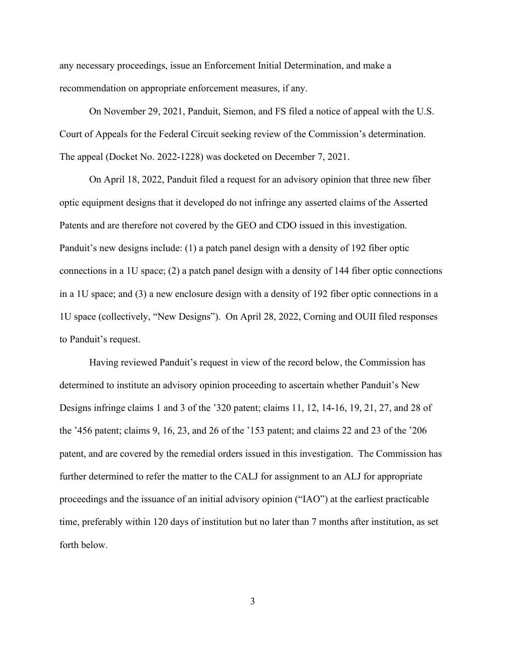any necessary proceedings, issue an Enforcement Initial Determination, and make a recommendation on appropriate enforcement measures, if any.

On November 29, 2021, Panduit, Siemon, and FS filed a notice of appeal with the U.S. Court of Appeals for the Federal Circuit seeking review of the Commission's determination. The appeal (Docket No. 2022-1228) was docketed on December 7, 2021.

On April 18, 2022, Panduit filed a request for an advisory opinion that three new fiber optic equipment designs that it developed do not infringe any asserted claims of the Asserted Patents and are therefore not covered by the GEO and CDO issued in this investigation. Panduit's new designs include: (1) a patch panel design with a density of 192 fiber optic connections in a 1U space; (2) a patch panel design with a density of 144 fiber optic connections in a 1U space; and (3) a new enclosure design with a density of 192 fiber optic connections in a 1U space (collectively, "New Designs"). On April 28, 2022, Corning and OUII filed responses to Panduit's request.

Having reviewed Panduit's request in view of the record below, the Commission has determined to institute an advisory opinion proceeding to ascertain whether Panduit's New Designs infringe claims 1 and 3 of the '320 patent; claims 11, 12, 14-16, 19, 21, 27, and 28 of the '456 patent; claims 9, 16, 23, and 26 of the '153 patent; and claims 22 and 23 of the '206 patent, and are covered by the remedial orders issued in this investigation. The Commission has further determined to refer the matter to the CALJ for assignment to an ALJ for appropriate proceedings and the issuance of an initial advisory opinion ("IAO") at the earliest practicable time, preferably within 120 days of institution but no later than 7 months after institution, as set forth below.

3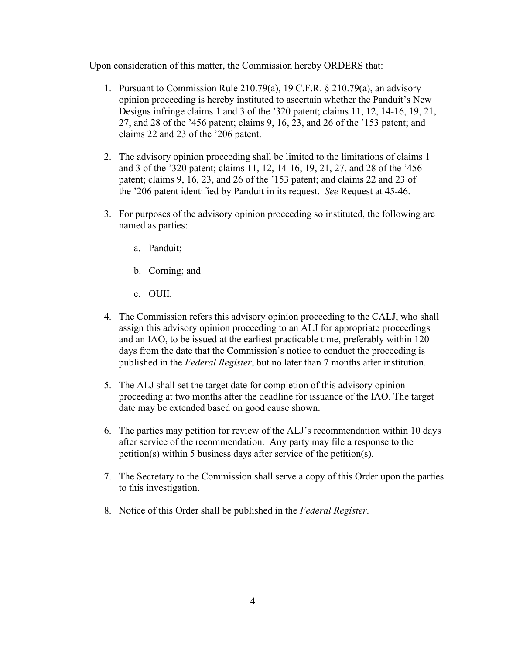Upon consideration of this matter, the Commission hereby ORDERS that:

- 1. Pursuant to Commission Rule 210.79(a), 19 C.F.R. § 210.79(a), an advisory opinion proceeding is hereby instituted to ascertain whether the Panduit's New Designs infringe claims 1 and 3 of the '320 patent; claims 11, 12, 14-16, 19, 21, 27, and 28 of the '456 patent; claims 9, 16, 23, and 26 of the '153 patent; and claims 22 and 23 of the '206 patent.
- 2. The advisory opinion proceeding shall be limited to the limitations of claims 1 and 3 of the '320 patent; claims 11, 12, 14-16, 19, 21, 27, and 28 of the '456 patent; claims 9, 16, 23, and 26 of the '153 patent; and claims 22 and 23 of the '206 patent identified by Panduit in its request. *See* Request at 45-46.
- 3. For purposes of the advisory opinion proceeding so instituted, the following are named as parties:
	- a. Panduit;
	- b. Corning; and
	- c. OUII.
- 4. The Commission refers this advisory opinion proceeding to the CALJ, who shall assign this advisory opinion proceeding to an ALJ for appropriate proceedings and an IAO, to be issued at the earliest practicable time, preferably within 120 days from the date that the Commission's notice to conduct the proceeding is published in the *Federal Register*, but no later than 7 months after institution.
- 5. The ALJ shall set the target date for completion of this advisory opinion proceeding at two months after the deadline for issuance of the IAO. The target date may be extended based on good cause shown.
- 6. The parties may petition for review of the ALJ's recommendation within 10 days after service of the recommendation. Any party may file a response to the petition(s) within 5 business days after service of the petition(s).
- 7. The Secretary to the Commission shall serve a copy of this Order upon the parties to this investigation.
- 8. Notice of this Order shall be published in the *Federal Register*.